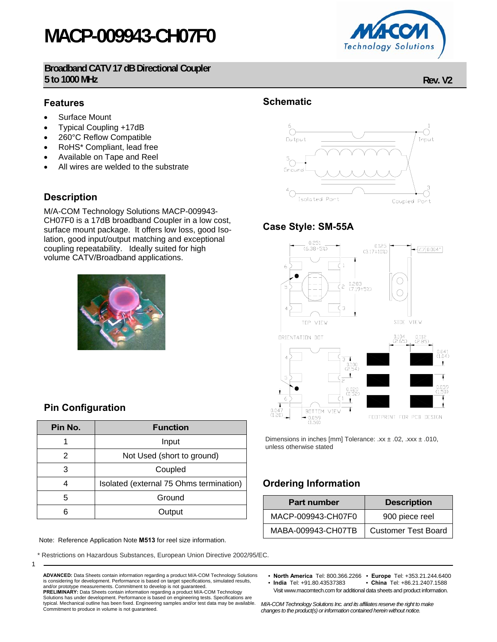# **MACP-009943-CH07F0**

**Broadband CATV 17 dB Directional Coupler 5 to 1000 MHz Rev. V2**

#### **Features**

- Surface Mount
- Typical Coupling +17dB
- 260°C Reflow Compatible
- RoHS\* Compliant, lead free
- Available on Tape and Reel
- All wires are welded to the substrate

### **Description**

M/A-COM Technology Solutions MACP-009943- CH07F0 is a 17dB broadband Coupler in a low cost, surface mount package. It offers low loss, good Isolation, good input/output matching and exceptional coupling repeatability. Ideally suited for high volume CATV/Broadband applications.



### **Pin Configuration**

| Pin No. | <b>Function</b>                         |  |  |  |
|---------|-----------------------------------------|--|--|--|
|         | Input                                   |  |  |  |
| 2       | Not Used (short to ground)              |  |  |  |
| 3       | Coupled                                 |  |  |  |
| 4       | Isolated (external 75 Ohms termination) |  |  |  |
| 5       | Ground                                  |  |  |  |
| հ       | Output                                  |  |  |  |

Note: Reference Application Note **M513** for reel size information.

Commitment to produce in volume is not guaranteed.

\* Restrictions on Hazardous Substances, European Union Directive 2002/95/EC.

**ADVANCED:** Data Sheets contain information regarding a product M/A-COM Technology Solutions is considering for development. Performance is based on target specifications, simulated results, and/or prototype measurements. Commitment to develop is not guaranteed. **PRELIMINARY:** Data Sheets contain information regarding a product M/A-COM Technology Solutions has under development. Performance is based on engineering tests. Specifications are typical. Mechanical outline has been fixed. Engineering samples and/or test data may be available.

### **Schematic**



#### **Case Style: SM-55A**



Dimensions in inches [mm] Tolerance: .xx ± .02, .xxx ± .010, unless otherwise stated

# **Ordering Information**

| <b>Part number</b> | <b>Description</b>         |  |  |
|--------------------|----------------------------|--|--|
| MACP-009943-CH07F0 | 900 piece reel             |  |  |
| MABA-009943-CH07TB | <b>Customer Test Board</b> |  |  |

• **North America** Tel: 800.366.2266 • **Europe** Tel: +353.21.244.6400

• China Tel: +86.21.2407.1588 Visit www.macomtech.com for additional data sheets and product information.

*M/A-COM Technology Solutions Inc. and its affiliates reserve the right to make changes to the product(s) or information contained herein without notice.* 



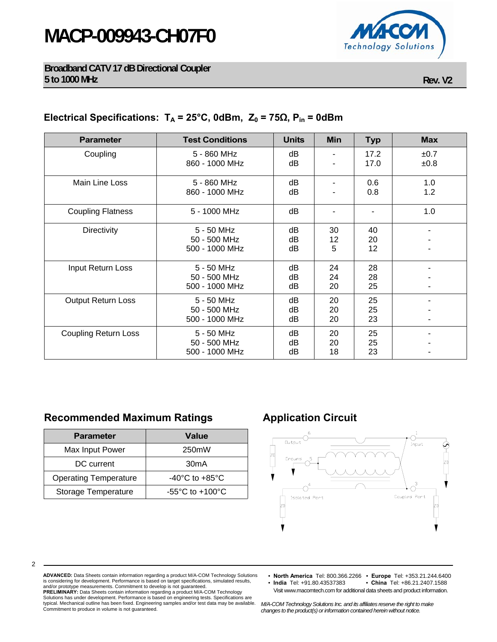# **MACP-009943-CH07F0**



**Broadband CATV 17 dB Directional Coupler 5 to 1000 MHz Rev. V2**

## **Electrical Specifications:**  $T_A = 25^\circ$ C, 0dBm,  $Z_0 = 75Ω$ ,  $P_{in} = 0d$ Bm

| <b>Parameter</b>            | <b>Test Conditions</b>                       | <b>Units</b>   | <b>Min</b>     | <b>Typ</b>     | <b>Max</b>   |
|-----------------------------|----------------------------------------------|----------------|----------------|----------------|--------------|
| Coupling                    | 5 - 860 MHz<br>860 - 1000 MHz                | dB<br>dB       |                | 17.2<br>17.0   | ±0.7<br>±0.8 |
| Main Line Loss              | 5 - 860 MHz<br>860 - 1000 MHz                | dB<br>dB       |                | 0.6<br>0.8     | 1.0<br>1.2   |
| <b>Coupling Flatness</b>    | 5 - 1000 MHz                                 | dB             |                |                | 1.0          |
| <b>Directivity</b>          | 5 - 50 MHz<br>50 - 500 MHz<br>500 - 1000 MHz | dB<br>dB<br>dB | 30<br>12<br>5  | 40<br>20<br>12 |              |
| Input Return Loss           | 5 - 50 MHz<br>50 - 500 MHz<br>500 - 1000 MHz | dB<br>dB<br>dB | 24<br>24<br>20 | 28<br>28<br>25 |              |
| <b>Output Return Loss</b>   | 5 - 50 MHz<br>50 - 500 MHz<br>500 - 1000 MHz | dB<br>dB<br>dB | 20<br>20<br>20 | 25<br>25<br>23 |              |
| <b>Coupling Return Loss</b> | 5 - 50 MHz<br>50 - 500 MHz<br>500 - 1000 MHz | dB<br>dB<br>dВ | 20<br>20<br>18 | 25<br>25<br>23 |              |

# **Recommended Maximum Ratings Application Circuit**

| <b>Parameter</b>             | <b>Value</b>                        |  |  |
|------------------------------|-------------------------------------|--|--|
| Max Input Power              | 250mW                               |  |  |
| DC current                   | 30 <sub>m</sub> A                   |  |  |
| <b>Operating Temperature</b> | $-40^{\circ}$ C to $+85^{\circ}$ C  |  |  |
| Storage Temperature          | -55 $\degree$ C to +100 $\degree$ C |  |  |



2

- **ADVANCED:** Data Sheets contain information regarding a product M/A-COM Technology Solutions is considering for development. Performance is based on target specifications, simulated results, and/or prototype measurements. Commitment to develop is not guaranteed. **PRELIMINARY:** Data Sheets contain information regarding a product M/A-COM Technology<br>Solutions has under development. Performance is based on engineering tests. Specifications are<br>typical. Mechanical outline has been fixe Commitment to produce in volume is not guaranteed.
- **North America** Tel: 800.366.2266 **Europe** Tel: +353.21.244.6400 • China Tel: +86.21.2407.1588
- Visit www.macomtech.com for additional data sheets and product information.

*M/A-COM Technology Solutions Inc. and its affiliates reserve the right to make changes to the product(s) or information contained herein without notice.*